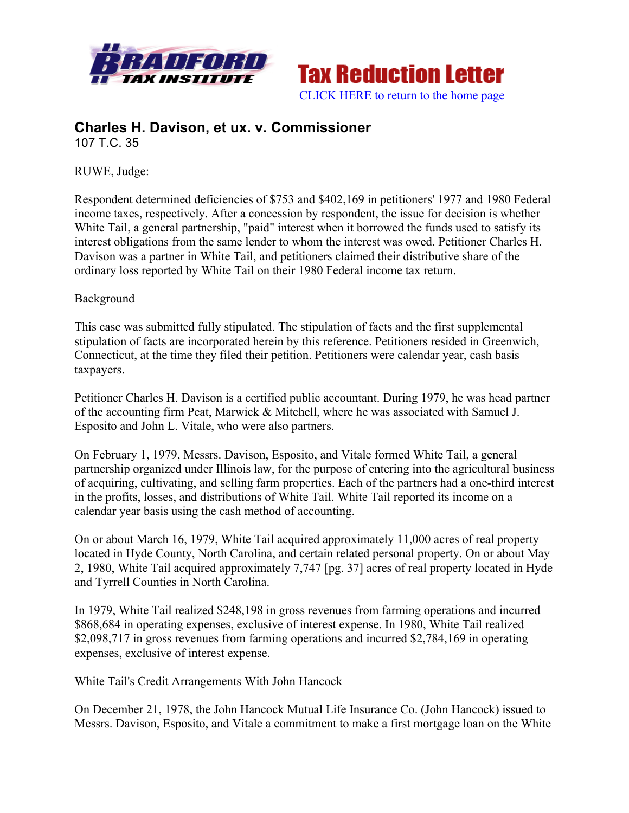



## **Charles H. Davison, et ux. v. Commissioner** 107 T.C. 35

RUWE, Judge:

Respondent determined deficiencies of \$753 and \$402,169 in petitioners' 1977 and 1980 Federal income taxes, respectively. After a concession by respondent, the issue for decision is whether White Tail, a general partnership, "paid" interest when it borrowed the funds used to satisfy its interest obligations from the same lender to whom the interest was owed. Petitioner Charles H. Davison was a partner in White Tail, and petitioners claimed their distributive share of the ordinary loss reported by White Tail on their 1980 Federal income tax return.

## Background

This case was submitted fully stipulated. The stipulation of facts and the first supplemental stipulation of facts are incorporated herein by this reference. Petitioners resided in Greenwich, Connecticut, at the time they filed their petition. Petitioners were calendar year, cash basis taxpayers.

Petitioner Charles H. Davison is a certified public accountant. During 1979, he was head partner of the accounting firm Peat, Marwick & Mitchell, where he was associated with Samuel J. Esposito and John L. Vitale, who were also partners.

On February 1, 1979, Messrs. Davison, Esposito, and Vitale formed White Tail, a general partnership organized under Illinois law, for the purpose of entering into the agricultural business of acquiring, cultivating, and selling farm properties. Each of the partners had a one-third interest in the profits, losses, and distributions of White Tail. White Tail reported its income on a calendar year basis using the cash method of accounting.

On or about March 16, 1979, White Tail acquired approximately 11,000 acres of real property located in Hyde County, North Carolina, and certain related personal property. On or about May 2, 1980, White Tail acquired approximately 7,747 [pg. 37] acres of real property located in Hyde and Tyrrell Counties in North Carolina.

In 1979, White Tail realized \$248,198 in gross revenues from farming operations and incurred \$868,684 in operating expenses, exclusive of interest expense. In 1980, White Tail realized \$2,098,717 in gross revenues from farming operations and incurred \$2,784,169 in operating expenses, exclusive of interest expense.

White Tail's Credit Arrangements With John Hancock

On December 21, 1978, the John Hancock Mutual Life Insurance Co. (John Hancock) issued to Messrs. Davison, Esposito, and Vitale a commitment to make a first mortgage loan on the White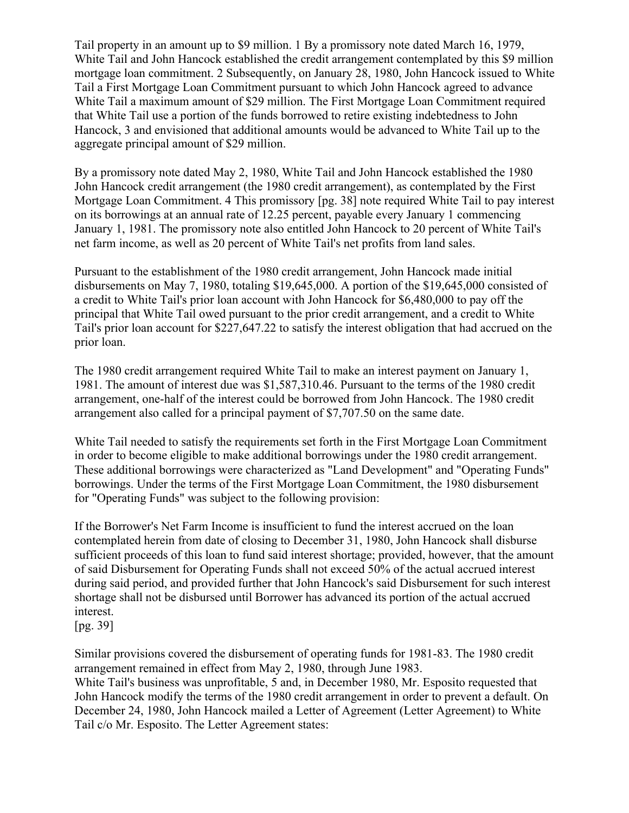Tail property in an amount up to \$9 million. 1 By a promissory note dated March 16, 1979, White Tail and John Hancock established the credit arrangement contemplated by this \$9 million mortgage loan commitment. 2 Subsequently, on January 28, 1980, John Hancock issued to White Tail a First Mortgage Loan Commitment pursuant to which John Hancock agreed to advance White Tail a maximum amount of \$29 million. The First Mortgage Loan Commitment required that White Tail use a portion of the funds borrowed to retire existing indebtedness to John Hancock, 3 and envisioned that additional amounts would be advanced to White Tail up to the aggregate principal amount of \$29 million.

By a promissory note dated May 2, 1980, White Tail and John Hancock established the 1980 John Hancock credit arrangement (the 1980 credit arrangement), as contemplated by the First Mortgage Loan Commitment. 4 This promissory [pg. 38] note required White Tail to pay interest on its borrowings at an annual rate of 12.25 percent, payable every January 1 commencing January 1, 1981. The promissory note also entitled John Hancock to 20 percent of White Tail's net farm income, as well as 20 percent of White Tail's net profits from land sales.

Pursuant to the establishment of the 1980 credit arrangement, John Hancock made initial disbursements on May 7, 1980, totaling \$19,645,000. A portion of the \$19,645,000 consisted of a credit to White Tail's prior loan account with John Hancock for \$6,480,000 to pay off the principal that White Tail owed pursuant to the prior credit arrangement, and a credit to White Tail's prior loan account for \$227,647.22 to satisfy the interest obligation that had accrued on the prior loan.

The 1980 credit arrangement required White Tail to make an interest payment on January 1, 1981. The amount of interest due was \$1,587,310.46. Pursuant to the terms of the 1980 credit arrangement, one-half of the interest could be borrowed from John Hancock. The 1980 credit arrangement also called for a principal payment of \$7,707.50 on the same date.

White Tail needed to satisfy the requirements set forth in the First Mortgage Loan Commitment in order to become eligible to make additional borrowings under the 1980 credit arrangement. These additional borrowings were characterized as "Land Development" and "Operating Funds" borrowings. Under the terms of the First Mortgage Loan Commitment, the 1980 disbursement for "Operating Funds" was subject to the following provision:

If the Borrower's Net Farm Income is insufficient to fund the interest accrued on the loan contemplated herein from date of closing to December 31, 1980, John Hancock shall disburse sufficient proceeds of this loan to fund said interest shortage; provided, however, that the amount of said Disbursement for Operating Funds shall not exceed 50% of the actual accrued interest during said period, and provided further that John Hancock's said Disbursement for such interest shortage shall not be disbursed until Borrower has advanced its portion of the actual accrued interest.

[pg. 39]

Similar provisions covered the disbursement of operating funds for 1981-83. The 1980 credit arrangement remained in effect from May 2, 1980, through June 1983. White Tail's business was unprofitable, 5 and, in December 1980, Mr. Esposito requested that John Hancock modify the terms of the 1980 credit arrangement in order to prevent a default. On December 24, 1980, John Hancock mailed a Letter of Agreement (Letter Agreement) to White Tail c/o Mr. Esposito. The Letter Agreement states: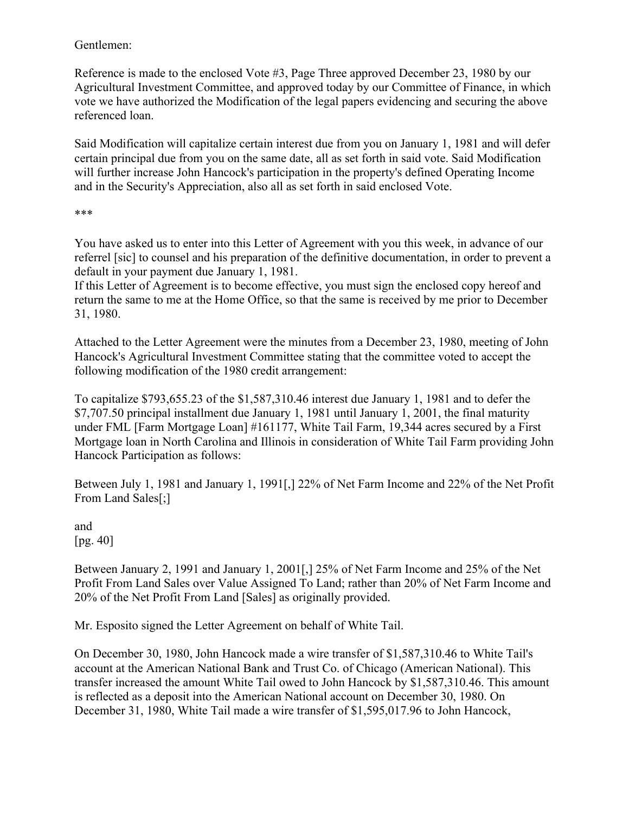## Gentlemen:

Reference is made to the enclosed Vote #3, Page Three approved December 23, 1980 by our Agricultural Investment Committee, and approved today by our Committee of Finance, in which vote we have authorized the Modification of the legal papers evidencing and securing the above referenced loan.

Said Modification will capitalize certain interest due from you on January 1, 1981 and will defer certain principal due from you on the same date, all as set forth in said vote. Said Modification will further increase John Hancock's participation in the property's defined Operating Income and in the Security's Appreciation, also all as set forth in said enclosed Vote.

\*\*\*

You have asked us to enter into this Letter of Agreement with you this week, in advance of our referrel [sic] to counsel and his preparation of the definitive documentation, in order to prevent a default in your payment due January 1, 1981.

If this Letter of Agreement is to become effective, you must sign the enclosed copy hereof and return the same to me at the Home Office, so that the same is received by me prior to December 31, 1980.

Attached to the Letter Agreement were the minutes from a December 23, 1980, meeting of John Hancock's Agricultural Investment Committee stating that the committee voted to accept the following modification of the 1980 credit arrangement:

To capitalize \$793,655.23 of the \$1,587,310.46 interest due January 1, 1981 and to defer the \$7,707.50 principal installment due January 1, 1981 until January 1, 2001, the final maturity under FML [Farm Mortgage Loan] #161177, White Tail Farm, 19,344 acres secured by a First Mortgage loan in North Carolina and Illinois in consideration of White Tail Farm providing John Hancock Participation as follows:

Between July 1, 1981 and January 1, 1991[,] 22% of Net Farm Income and 22% of the Net Profit From Land Sales<sup>[:]</sup>

and [pg. 40]

Between January 2, 1991 and January 1, 2001[,] 25% of Net Farm Income and 25% of the Net Profit From Land Sales over Value Assigned To Land; rather than 20% of Net Farm Income and 20% of the Net Profit From Land [Sales] as originally provided.

Mr. Esposito signed the Letter Agreement on behalf of White Tail.

On December 30, 1980, John Hancock made a wire transfer of \$1,587,310.46 to White Tail's account at the American National Bank and Trust Co. of Chicago (American National). This transfer increased the amount White Tail owed to John Hancock by \$1,587,310.46. This amount is reflected as a deposit into the American National account on December 30, 1980. On December 31, 1980, White Tail made a wire transfer of \$1,595,017.96 to John Hancock,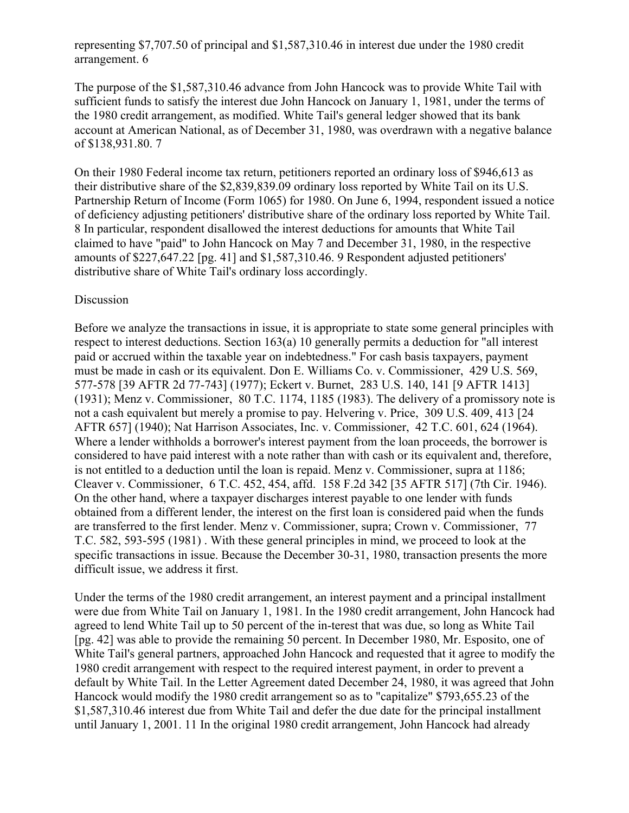representing \$7,707.50 of principal and \$1,587,310.46 in interest due under the 1980 credit arrangement. 6

The purpose of the \$1,587,310.46 advance from John Hancock was to provide White Tail with sufficient funds to satisfy the interest due John Hancock on January 1, 1981, under the terms of the 1980 credit arrangement, as modified. White Tail's general ledger showed that its bank account at American National, as of December 31, 1980, was overdrawn with a negative balance of \$138,931.80. 7

On their 1980 Federal income tax return, petitioners reported an ordinary loss of \$946,613 as their distributive share of the \$2,839,839.09 ordinary loss reported by White Tail on its U.S. Partnership Return of Income (Form 1065) for 1980. On June 6, 1994, respondent issued a notice of deficiency adjusting petitioners' distributive share of the ordinary loss reported by White Tail. 8 In particular, respondent disallowed the interest deductions for amounts that White Tail claimed to have "paid" to John Hancock on May 7 and December 31, 1980, in the respective amounts of \$227,647.22 [pg. 41] and \$1,587,310.46. 9 Respondent adjusted petitioners' distributive share of White Tail's ordinary loss accordingly.

## Discussion

Before we analyze the transactions in issue, it is appropriate to state some general principles with respect to interest deductions. Section 163(a) 10 generally permits a deduction for "all interest paid or accrued within the taxable year on indebtedness." For cash basis taxpayers, payment must be made in cash or its equivalent. Don E. Williams Co. v. Commissioner, 429 U.S. 569, 577-578 [39 AFTR 2d 77-743] (1977); Eckert v. Burnet, 283 U.S. 140, 141 [9 AFTR 1413] (1931); Menz v. Commissioner, 80 T.C. 1174, 1185 (1983). The delivery of a promissory note is not a cash equivalent but merely a promise to pay. Helvering v. Price, 309 U.S. 409, 413 [24 AFTR 657] (1940); Nat Harrison Associates, Inc. v. Commissioner, 42 T.C. 601, 624 (1964). Where a lender withholds a borrower's interest payment from the loan proceeds, the borrower is considered to have paid interest with a note rather than with cash or its equivalent and, therefore, is not entitled to a deduction until the loan is repaid. Menz v. Commissioner, supra at 1186; Cleaver v. Commissioner, 6 T.C. 452, 454, affd. 158 F.2d 342 [35 AFTR 517] (7th Cir. 1946). On the other hand, where a taxpayer discharges interest payable to one lender with funds obtained from a different lender, the interest on the first loan is considered paid when the funds are transferred to the first lender. Menz v. Commissioner, supra; Crown v. Commissioner, 77 T.C. 582, 593-595 (1981) . With these general principles in mind, we proceed to look at the specific transactions in issue. Because the December 30-31, 1980, transaction presents the more difficult issue, we address it first.

Under the terms of the 1980 credit arrangement, an interest payment and a principal installment were due from White Tail on January 1, 1981. In the 1980 credit arrangement, John Hancock had agreed to lend White Tail up to 50 percent of the in-terest that was due, so long as White Tail [pg. 42] was able to provide the remaining 50 percent. In December 1980, Mr. Esposito, one of White Tail's general partners, approached John Hancock and requested that it agree to modify the 1980 credit arrangement with respect to the required interest payment, in order to prevent a default by White Tail. In the Letter Agreement dated December 24, 1980, it was agreed that John Hancock would modify the 1980 credit arrangement so as to "capitalize" \$793,655.23 of the \$1,587,310.46 interest due from White Tail and defer the due date for the principal installment until January 1, 2001. 11 In the original 1980 credit arrangement, John Hancock had already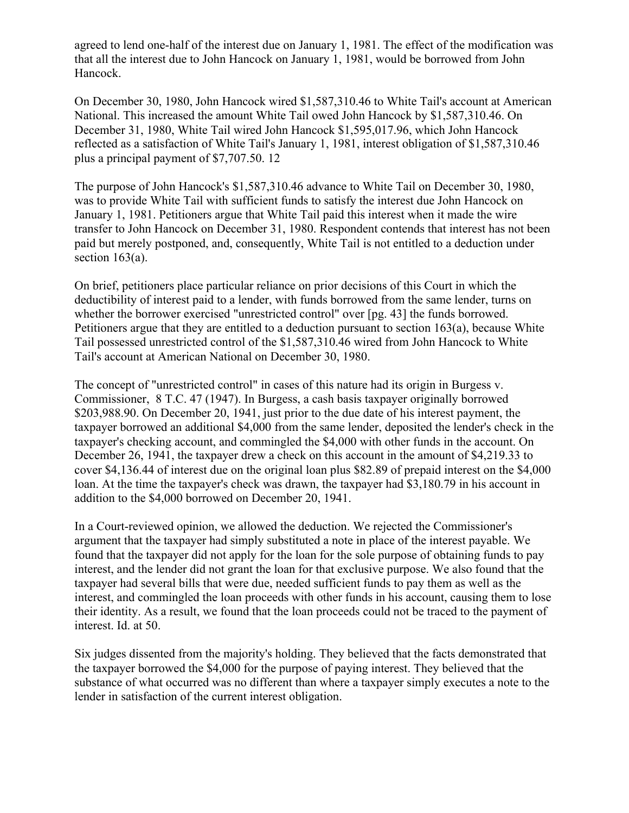agreed to lend one-half of the interest due on January 1, 1981. The effect of the modification was that all the interest due to John Hancock on January 1, 1981, would be borrowed from John Hancock.

On December 30, 1980, John Hancock wired \$1,587,310.46 to White Tail's account at American National. This increased the amount White Tail owed John Hancock by \$1,587,310.46. On December 31, 1980, White Tail wired John Hancock \$1,595,017.96, which John Hancock reflected as a satisfaction of White Tail's January 1, 1981, interest obligation of \$1,587,310.46 plus a principal payment of \$7,707.50. 12

The purpose of John Hancock's \$1,587,310.46 advance to White Tail on December 30, 1980, was to provide White Tail with sufficient funds to satisfy the interest due John Hancock on January 1, 1981. Petitioners argue that White Tail paid this interest when it made the wire transfer to John Hancock on December 31, 1980. Respondent contends that interest has not been paid but merely postponed, and, consequently, White Tail is not entitled to a deduction under section  $163(a)$ .

On brief, petitioners place particular reliance on prior decisions of this Court in which the deductibility of interest paid to a lender, with funds borrowed from the same lender, turns on whether the borrower exercised "unrestricted control" over [pg. 43] the funds borrowed. Petitioners argue that they are entitled to a deduction pursuant to section 163(a), because White Tail possessed unrestricted control of the \$1,587,310.46 wired from John Hancock to White Tail's account at American National on December 30, 1980.

The concept of "unrestricted control" in cases of this nature had its origin in Burgess v. Commissioner, 8 T.C. 47 (1947). In Burgess, a cash basis taxpayer originally borrowed \$203,988.90. On December 20, 1941, just prior to the due date of his interest payment, the taxpayer borrowed an additional \$4,000 from the same lender, deposited the lender's check in the taxpayer's checking account, and commingled the \$4,000 with other funds in the account. On December 26, 1941, the taxpayer drew a check on this account in the amount of \$4,219.33 to cover \$4,136.44 of interest due on the original loan plus \$82.89 of prepaid interest on the \$4,000 loan. At the time the taxpayer's check was drawn, the taxpayer had \$3,180.79 in his account in addition to the \$4,000 borrowed on December 20, 1941.

In a Court-reviewed opinion, we allowed the deduction. We rejected the Commissioner's argument that the taxpayer had simply substituted a note in place of the interest payable. We found that the taxpayer did not apply for the loan for the sole purpose of obtaining funds to pay interest, and the lender did not grant the loan for that exclusive purpose. We also found that the taxpayer had several bills that were due, needed sufficient funds to pay them as well as the interest, and commingled the loan proceeds with other funds in his account, causing them to lose their identity. As a result, we found that the loan proceeds could not be traced to the payment of interest. Id. at 50.

Six judges dissented from the majority's holding. They believed that the facts demonstrated that the taxpayer borrowed the \$4,000 for the purpose of paying interest. They believed that the substance of what occurred was no different than where a taxpayer simply executes a note to the lender in satisfaction of the current interest obligation.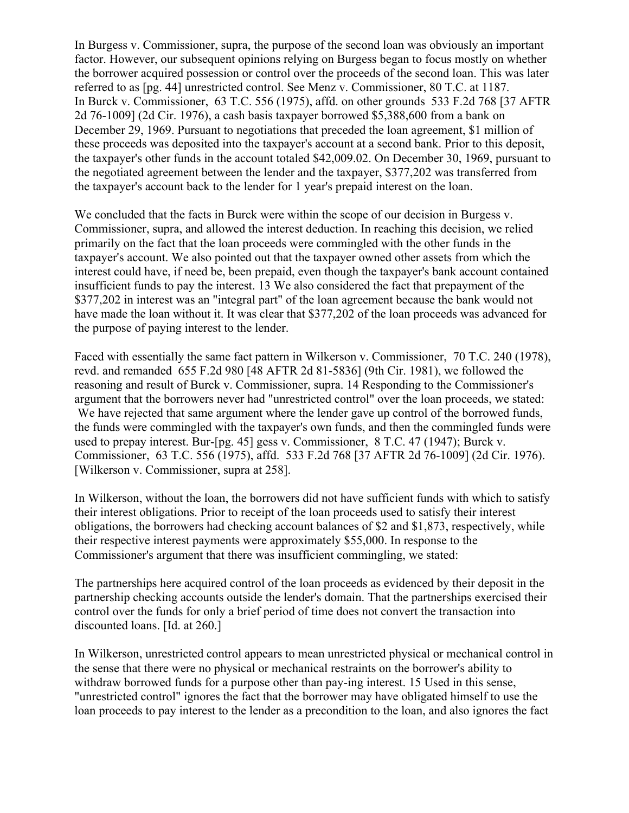In Burgess v. Commissioner, supra, the purpose of the second loan was obviously an important factor. However, our subsequent opinions relying on Burgess began to focus mostly on whether the borrower acquired possession or control over the proceeds of the second loan. This was later referred to as [pg. 44] unrestricted control. See Menz v. Commissioner, 80 T.C. at 1187. In Burck v. Commissioner, 63 T.C. 556 (1975), affd. on other grounds 533 F.2d 768 [37 AFTR 2d 76-1009] (2d Cir. 1976), a cash basis taxpayer borrowed \$5,388,600 from a bank on December 29, 1969. Pursuant to negotiations that preceded the loan agreement, \$1 million of these proceeds was deposited into the taxpayer's account at a second bank. Prior to this deposit, the taxpayer's other funds in the account totaled \$42,009.02. On December 30, 1969, pursuant to the negotiated agreement between the lender and the taxpayer, \$377,202 was transferred from the taxpayer's account back to the lender for 1 year's prepaid interest on the loan.

We concluded that the facts in Burck were within the scope of our decision in Burgess v. Commissioner, supra, and allowed the interest deduction. In reaching this decision, we relied primarily on the fact that the loan proceeds were commingled with the other funds in the taxpayer's account. We also pointed out that the taxpayer owned other assets from which the interest could have, if need be, been prepaid, even though the taxpayer's bank account contained insufficient funds to pay the interest. 13 We also considered the fact that prepayment of the \$377,202 in interest was an "integral part" of the loan agreement because the bank would not have made the loan without it. It was clear that \$377,202 of the loan proceeds was advanced for the purpose of paying interest to the lender.

Faced with essentially the same fact pattern in Wilkerson v. Commissioner, 70 T.C. 240 (1978), revd. and remanded 655 F.2d 980 [48 AFTR 2d 81-5836] (9th Cir. 1981), we followed the reasoning and result of Burck v. Commissioner, supra. 14 Responding to the Commissioner's argument that the borrowers never had "unrestricted control" over the loan proceeds, we stated: We have rejected that same argument where the lender gave up control of the borrowed funds, the funds were commingled with the taxpayer's own funds, and then the commingled funds were used to prepay interest. Bur-[pg. 45] gess v. Commissioner, 8 T.C. 47 (1947); Burck v. Commissioner, 63 T.C. 556 (1975), affd. 533 F.2d 768 [37 AFTR 2d 76-1009] (2d Cir. 1976). [Wilkerson v. Commissioner, supra at 258].

In Wilkerson, without the loan, the borrowers did not have sufficient funds with which to satisfy their interest obligations. Prior to receipt of the loan proceeds used to satisfy their interest obligations, the borrowers had checking account balances of \$2 and \$1,873, respectively, while their respective interest payments were approximately \$55,000. In response to the Commissioner's argument that there was insufficient commingling, we stated:

The partnerships here acquired control of the loan proceeds as evidenced by their deposit in the partnership checking accounts outside the lender's domain. That the partnerships exercised their control over the funds for only a brief period of time does not convert the transaction into discounted loans. [Id. at 260.]

In Wilkerson, unrestricted control appears to mean unrestricted physical or mechanical control in the sense that there were no physical or mechanical restraints on the borrower's ability to withdraw borrowed funds for a purpose other than pay-ing interest. 15 Used in this sense, "unrestricted control" ignores the fact that the borrower may have obligated himself to use the loan proceeds to pay interest to the lender as a precondition to the loan, and also ignores the fact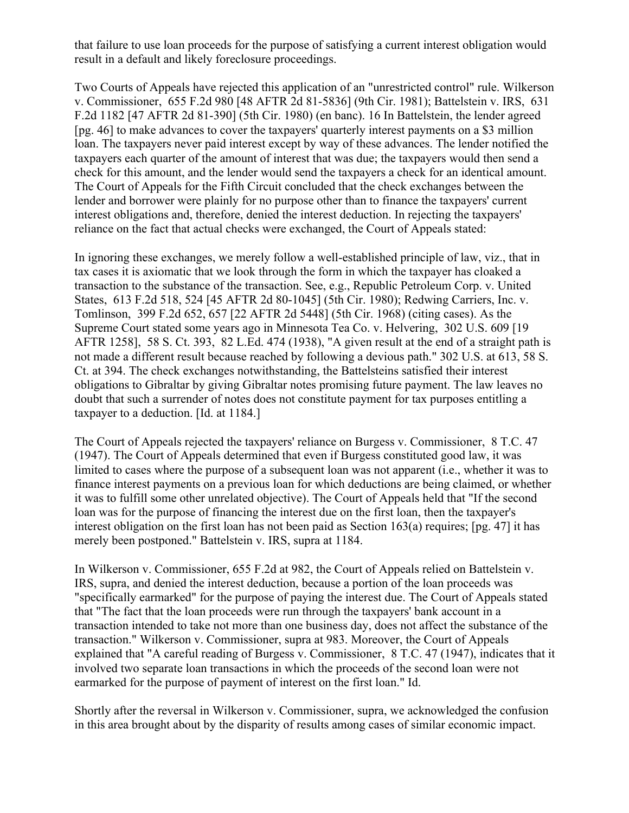that failure to use loan proceeds for the purpose of satisfying a current interest obligation would result in a default and likely foreclosure proceedings.

Two Courts of Appeals have rejected this application of an "unrestricted control" rule. Wilkerson v. Commissioner, 655 F.2d 980 [48 AFTR 2d 81-5836] (9th Cir. 1981); Battelstein v. IRS, 631 F.2d 1182 [47 AFTR 2d 81-390] (5th Cir. 1980) (en banc). 16 In Battelstein, the lender agreed [pg. 46] to make advances to cover the taxpayers' quarterly interest payments on a \$3 million loan. The taxpayers never paid interest except by way of these advances. The lender notified the taxpayers each quarter of the amount of interest that was due; the taxpayers would then send a check for this amount, and the lender would send the taxpayers a check for an identical amount. The Court of Appeals for the Fifth Circuit concluded that the check exchanges between the lender and borrower were plainly for no purpose other than to finance the taxpayers' current interest obligations and, therefore, denied the interest deduction. In rejecting the taxpayers' reliance on the fact that actual checks were exchanged, the Court of Appeals stated:

In ignoring these exchanges, we merely follow a well-established principle of law, viz., that in tax cases it is axiomatic that we look through the form in which the taxpayer has cloaked a transaction to the substance of the transaction. See, e.g., Republic Petroleum Corp. v. United States, 613 F.2d 518, 524 [45 AFTR 2d 80-1045] (5th Cir. 1980); Redwing Carriers, Inc. v. Tomlinson, 399 F.2d 652, 657 [22 AFTR 2d 5448] (5th Cir. 1968) (citing cases). As the Supreme Court stated some years ago in Minnesota Tea Co. v. Helvering, 302 U.S. 609 [19 AFTR 1258], 58 S. Ct. 393, 82 L.Ed. 474 (1938), "A given result at the end of a straight path is not made a different result because reached by following a devious path." 302 U.S. at 613, 58 S. Ct. at 394. The check exchanges notwithstanding, the Battelsteins satisfied their interest obligations to Gibraltar by giving Gibraltar notes promising future payment. The law leaves no doubt that such a surrender of notes does not constitute payment for tax purposes entitling a taxpayer to a deduction. [Id. at 1184.]

The Court of Appeals rejected the taxpayers' reliance on Burgess v. Commissioner, 8 T.C. 47 (1947). The Court of Appeals determined that even if Burgess constituted good law, it was limited to cases where the purpose of a subsequent loan was not apparent (i.e., whether it was to finance interest payments on a previous loan for which deductions are being claimed, or whether it was to fulfill some other unrelated objective). The Court of Appeals held that "If the second loan was for the purpose of financing the interest due on the first loan, then the taxpayer's interest obligation on the first loan has not been paid as Section 163(a) requires; [pg. 47] it has merely been postponed." Battelstein v. IRS, supra at 1184.

In Wilkerson v. Commissioner, 655 F.2d at 982, the Court of Appeals relied on Battelstein v. IRS, supra, and denied the interest deduction, because a portion of the loan proceeds was "specifically earmarked" for the purpose of paying the interest due. The Court of Appeals stated that "The fact that the loan proceeds were run through the taxpayers' bank account in a transaction intended to take not more than one business day, does not affect the substance of the transaction." Wilkerson v. Commissioner, supra at 983. Moreover, the Court of Appeals explained that "A careful reading of Burgess v. Commissioner, 8 T.C. 47 (1947), indicates that it involved two separate loan transactions in which the proceeds of the second loan were not earmarked for the purpose of payment of interest on the first loan." Id.

Shortly after the reversal in Wilkerson v. Commissioner, supra, we acknowledged the confusion in this area brought about by the disparity of results among cases of similar economic impact.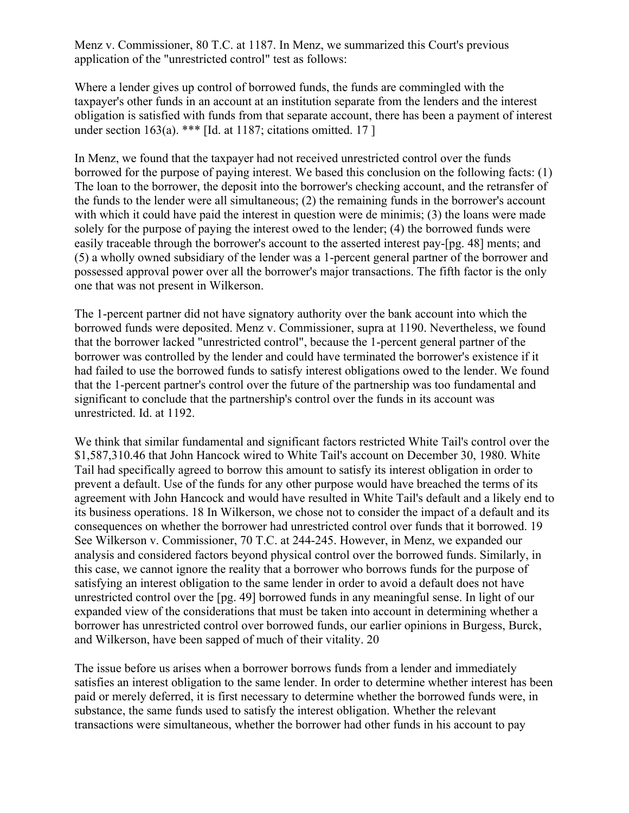Menz v. Commissioner, 80 T.C. at 1187. In Menz, we summarized this Court's previous application of the "unrestricted control" test as follows:

Where a lender gives up control of borrowed funds, the funds are commingled with the taxpayer's other funds in an account at an institution separate from the lenders and the interest obligation is satisfied with funds from that separate account, there has been a payment of interest under section 163(a). \*\*\* [Id. at 1187; citations omitted. 17]

In Menz, we found that the taxpayer had not received unrestricted control over the funds borrowed for the purpose of paying interest. We based this conclusion on the following facts: (1) The loan to the borrower, the deposit into the borrower's checking account, and the retransfer of the funds to the lender were all simultaneous; (2) the remaining funds in the borrower's account with which it could have paid the interest in question were de minimis; (3) the loans were made solely for the purpose of paying the interest owed to the lender; (4) the borrowed funds were easily traceable through the borrower's account to the asserted interest pay-[pg. 48] ments; and (5) a wholly owned subsidiary of the lender was a 1-percent general partner of the borrower and possessed approval power over all the borrower's major transactions. The fifth factor is the only one that was not present in Wilkerson.

The 1-percent partner did not have signatory authority over the bank account into which the borrowed funds were deposited. Menz v. Commissioner, supra at 1190. Nevertheless, we found that the borrower lacked "unrestricted control", because the 1-percent general partner of the borrower was controlled by the lender and could have terminated the borrower's existence if it had failed to use the borrowed funds to satisfy interest obligations owed to the lender. We found that the 1-percent partner's control over the future of the partnership was too fundamental and significant to conclude that the partnership's control over the funds in its account was unrestricted. Id. at 1192.

We think that similar fundamental and significant factors restricted White Tail's control over the \$1,587,310.46 that John Hancock wired to White Tail's account on December 30, 1980. White Tail had specifically agreed to borrow this amount to satisfy its interest obligation in order to prevent a default. Use of the funds for any other purpose would have breached the terms of its agreement with John Hancock and would have resulted in White Tail's default and a likely end to its business operations. 18 In Wilkerson, we chose not to consider the impact of a default and its consequences on whether the borrower had unrestricted control over funds that it borrowed. 19 See Wilkerson v. Commissioner, 70 T.C. at 244-245. However, in Menz, we expanded our analysis and considered factors beyond physical control over the borrowed funds. Similarly, in this case, we cannot ignore the reality that a borrower who borrows funds for the purpose of satisfying an interest obligation to the same lender in order to avoid a default does not have unrestricted control over the [pg. 49] borrowed funds in any meaningful sense. In light of our expanded view of the considerations that must be taken into account in determining whether a borrower has unrestricted control over borrowed funds, our earlier opinions in Burgess, Burck, and Wilkerson, have been sapped of much of their vitality. 20

The issue before us arises when a borrower borrows funds from a lender and immediately satisfies an interest obligation to the same lender. In order to determine whether interest has been paid or merely deferred, it is first necessary to determine whether the borrowed funds were, in substance, the same funds used to satisfy the interest obligation. Whether the relevant transactions were simultaneous, whether the borrower had other funds in his account to pay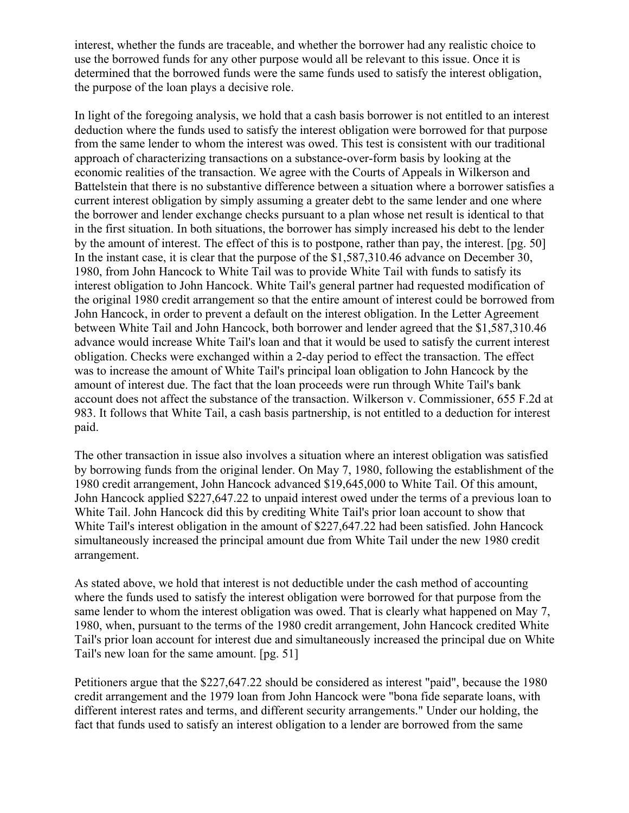interest, whether the funds are traceable, and whether the borrower had any realistic choice to use the borrowed funds for any other purpose would all be relevant to this issue. Once it is determined that the borrowed funds were the same funds used to satisfy the interest obligation, the purpose of the loan plays a decisive role.

In light of the foregoing analysis, we hold that a cash basis borrower is not entitled to an interest deduction where the funds used to satisfy the interest obligation were borrowed for that purpose from the same lender to whom the interest was owed. This test is consistent with our traditional approach of characterizing transactions on a substance-over-form basis by looking at the economic realities of the transaction. We agree with the Courts of Appeals in Wilkerson and Battelstein that there is no substantive difference between a situation where a borrower satisfies a current interest obligation by simply assuming a greater debt to the same lender and one where the borrower and lender exchange checks pursuant to a plan whose net result is identical to that in the first situation. In both situations, the borrower has simply increased his debt to the lender by the amount of interest. The effect of this is to postpone, rather than pay, the interest. [pg. 50] In the instant case, it is clear that the purpose of the \$1,587,310.46 advance on December 30, 1980, from John Hancock to White Tail was to provide White Tail with funds to satisfy its interest obligation to John Hancock. White Tail's general partner had requested modification of the original 1980 credit arrangement so that the entire amount of interest could be borrowed from John Hancock, in order to prevent a default on the interest obligation. In the Letter Agreement between White Tail and John Hancock, both borrower and lender agreed that the \$1,587,310.46 advance would increase White Tail's loan and that it would be used to satisfy the current interest obligation. Checks were exchanged within a 2-day period to effect the transaction. The effect was to increase the amount of White Tail's principal loan obligation to John Hancock by the amount of interest due. The fact that the loan proceeds were run through White Tail's bank account does not affect the substance of the transaction. Wilkerson v. Commissioner, 655 F.2d at 983. It follows that White Tail, a cash basis partnership, is not entitled to a deduction for interest paid.

The other transaction in issue also involves a situation where an interest obligation was satisfied by borrowing funds from the original lender. On May 7, 1980, following the establishment of the 1980 credit arrangement, John Hancock advanced \$19,645,000 to White Tail. Of this amount, John Hancock applied \$227,647.22 to unpaid interest owed under the terms of a previous loan to White Tail. John Hancock did this by crediting White Tail's prior loan account to show that White Tail's interest obligation in the amount of \$227,647,22 had been satisfied. John Hancock simultaneously increased the principal amount due from White Tail under the new 1980 credit arrangement.

As stated above, we hold that interest is not deductible under the cash method of accounting where the funds used to satisfy the interest obligation were borrowed for that purpose from the same lender to whom the interest obligation was owed. That is clearly what happened on May 7, 1980, when, pursuant to the terms of the 1980 credit arrangement, John Hancock credited White Tail's prior loan account for interest due and simultaneously increased the principal due on White Tail's new loan for the same amount. [pg. 51]

Petitioners argue that the \$227,647.22 should be considered as interest "paid", because the 1980 credit arrangement and the 1979 loan from John Hancock were "bona fide separate loans, with different interest rates and terms, and different security arrangements." Under our holding, the fact that funds used to satisfy an interest obligation to a lender are borrowed from the same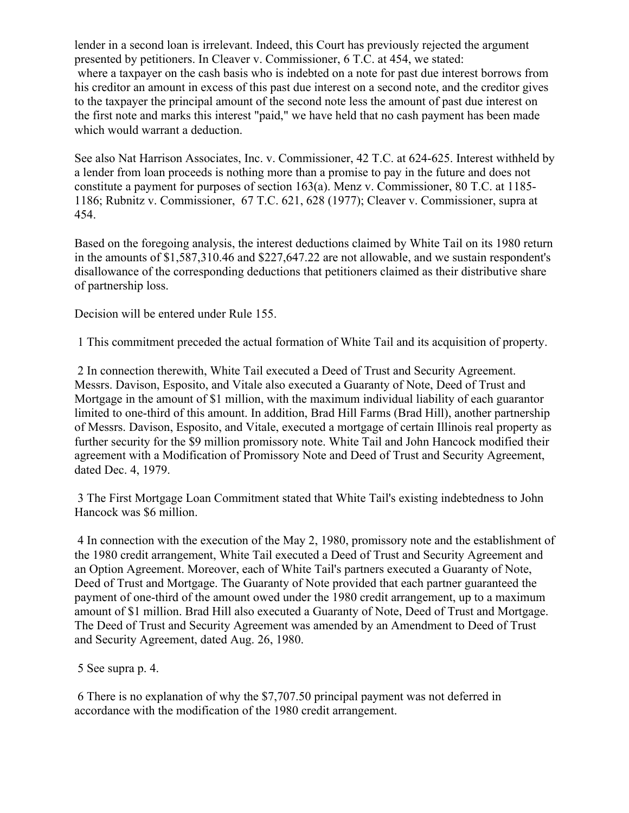lender in a second loan is irrelevant. Indeed, this Court has previously rejected the argument presented by petitioners. In Cleaver v. Commissioner, 6 T.C. at 454, we stated: where a taxpayer on the cash basis who is indebted on a note for past due interest borrows from his creditor an amount in excess of this past due interest on a second note, and the creditor gives to the taxpayer the principal amount of the second note less the amount of past due interest on the first note and marks this interest "paid," we have held that no cash payment has been made which would warrant a deduction.

See also Nat Harrison Associates, Inc. v. Commissioner, 42 T.C. at 624-625. Interest withheld by a lender from loan proceeds is nothing more than a promise to pay in the future and does not constitute a payment for purposes of section 163(a). Menz v. Commissioner, 80 T.C. at 1185- 1186; Rubnitz v. Commissioner, 67 T.C. 621, 628 (1977); Cleaver v. Commissioner, supra at 454.

Based on the foregoing analysis, the interest deductions claimed by White Tail on its 1980 return in the amounts of \$1,587,310.46 and \$227,647.22 are not allowable, and we sustain respondent's disallowance of the corresponding deductions that petitioners claimed as their distributive share of partnership loss.

Decision will be entered under Rule 155.

1 This commitment preceded the actual formation of White Tail and its acquisition of property.

2 In connection therewith, White Tail executed a Deed of Trust and Security Agreement. Messrs. Davison, Esposito, and Vitale also executed a Guaranty of Note, Deed of Trust and Mortgage in the amount of \$1 million, with the maximum individual liability of each guarantor limited to one-third of this amount. In addition, Brad Hill Farms (Brad Hill), another partnership of Messrs. Davison, Esposito, and Vitale, executed a mortgage of certain Illinois real property as further security for the \$9 million promissory note. White Tail and John Hancock modified their agreement with a Modification of Promissory Note and Deed of Trust and Security Agreement, dated Dec. 4, 1979.

3 The First Mortgage Loan Commitment stated that White Tail's existing indebtedness to John Hancock was \$6 million.

4 In connection with the execution of the May 2, 1980, promissory note and the establishment of the 1980 credit arrangement, White Tail executed a Deed of Trust and Security Agreement and an Option Agreement. Moreover, each of White Tail's partners executed a Guaranty of Note, Deed of Trust and Mortgage. The Guaranty of Note provided that each partner guaranteed the payment of one-third of the amount owed under the 1980 credit arrangement, up to a maximum amount of \$1 million. Brad Hill also executed a Guaranty of Note, Deed of Trust and Mortgage. The Deed of Trust and Security Agreement was amended by an Amendment to Deed of Trust and Security Agreement, dated Aug. 26, 1980.

5 See supra p. 4.

6 There is no explanation of why the \$7,707.50 principal payment was not deferred in accordance with the modification of the 1980 credit arrangement.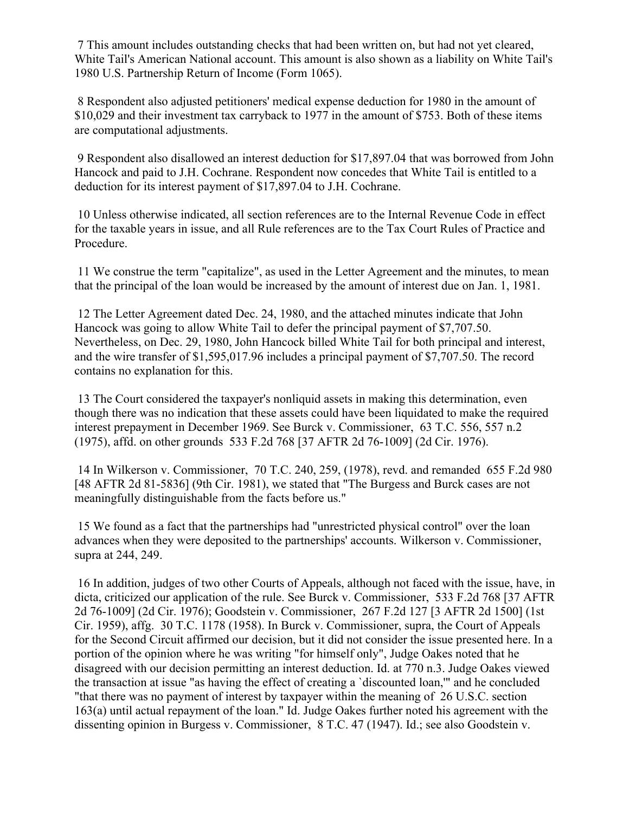7 This amount includes outstanding checks that had been written on, but had not yet cleared, White Tail's American National account. This amount is also shown as a liability on White Tail's 1980 U.S. Partnership Return of Income (Form 1065).

8 Respondent also adjusted petitioners' medical expense deduction for 1980 in the amount of \$10,029 and their investment tax carryback to 1977 in the amount of \$753. Both of these items are computational adjustments.

9 Respondent also disallowed an interest deduction for \$17,897.04 that was borrowed from John Hancock and paid to J.H. Cochrane. Respondent now concedes that White Tail is entitled to a deduction for its interest payment of \$17,897.04 to J.H. Cochrane.

10 Unless otherwise indicated, all section references are to the Internal Revenue Code in effect for the taxable years in issue, and all Rule references are to the Tax Court Rules of Practice and Procedure.

11 We construe the term "capitalize", as used in the Letter Agreement and the minutes, to mean that the principal of the loan would be increased by the amount of interest due on Jan. 1, 1981.

12 The Letter Agreement dated Dec. 24, 1980, and the attached minutes indicate that John Hancock was going to allow White Tail to defer the principal payment of \$7,707.50. Nevertheless, on Dec. 29, 1980, John Hancock billed White Tail for both principal and interest, and the wire transfer of \$1,595,017.96 includes a principal payment of \$7,707.50. The record contains no explanation for this.

13 The Court considered the taxpayer's nonliquid assets in making this determination, even though there was no indication that these assets could have been liquidated to make the required interest prepayment in December 1969. See Burck v. Commissioner, 63 T.C. 556, 557 n.2 (1975), affd. on other grounds 533 F.2d 768 [37 AFTR 2d 76-1009] (2d Cir. 1976).

14 In Wilkerson v. Commissioner, 70 T.C. 240, 259, (1978), revd. and remanded 655 F.2d 980 [48 AFTR 2d 81-5836] (9th Cir. 1981), we stated that "The Burgess and Burck cases are not meaningfully distinguishable from the facts before us."

15 We found as a fact that the partnerships had "unrestricted physical control" over the loan advances when they were deposited to the partnerships' accounts. Wilkerson v. Commissioner, supra at 244, 249.

16 In addition, judges of two other Courts of Appeals, although not faced with the issue, have, in dicta, criticized our application of the rule. See Burck v. Commissioner, 533 F.2d 768 [37 AFTR 2d 76-1009] (2d Cir. 1976); Goodstein v. Commissioner, 267 F.2d 127 [3 AFTR 2d 1500] (1st Cir. 1959), affg. 30 T.C. 1178 (1958). In Burck v. Commissioner, supra, the Court of Appeals for the Second Circuit affirmed our decision, but it did not consider the issue presented here. In a portion of the opinion where he was writing "for himself only", Judge Oakes noted that he disagreed with our decision permitting an interest deduction. Id. at 770 n.3. Judge Oakes viewed the transaction at issue "as having the effect of creating a `discounted loan,'" and he concluded "that there was no payment of interest by taxpayer within the meaning of 26 U.S.C. section 163(a) until actual repayment of the loan." Id. Judge Oakes further noted his agreement with the dissenting opinion in Burgess v. Commissioner, 8 T.C. 47 (1947). Id.; see also Goodstein v.